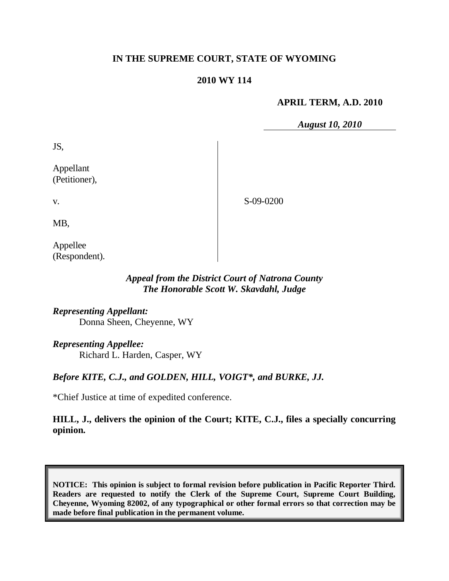# **IN THE SUPREME COURT, STATE OF WYOMING**

# **2010 WY 114**

### **APRIL TERM, A.D. 2010**

*August 10, 2010*

JS,

Appellant (Petitioner),

S-09-0200

MB,

v.

Appellee (Respondent).

### *Appeal from the District Court of Natrona County The Honorable Scott W. Skavdahl, Judge*

*Representing Appellant:* Donna Sheen, Cheyenne, WY

*Representing Appellee:*

Richard L. Harden, Casper, WY

# *Before KITE, C.J., and GOLDEN, HILL, VOIGT\*, and BURKE, JJ.*

\*Chief Justice at time of expedited conference.

**HILL, J., delivers the opinion of the Court; KITE, C.J., files a specially concurring opinion.**

**NOTICE: This opinion is subject to formal revision before publication in Pacific Reporter Third. Readers are requested to notify the Clerk of the Supreme Court, Supreme Court Building, Cheyenne, Wyoming 82002, of any typographical or other formal errors so that correction may be made before final publication in the permanent volume.**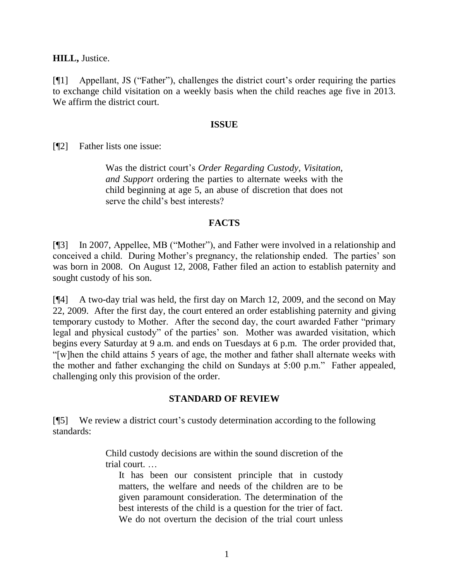**HILL,** Justice.

[¶1] Appellant, JS ("Father"), challenges the district court"s order requiring the parties to exchange child visitation on a weekly basis when the child reaches age five in 2013. We affirm the district court.

#### **ISSUE**

[¶2] Father lists one issue:

Was the district court"s *Order Regarding Custody, Visitation, and Support* ordering the parties to alternate weeks with the child beginning at age 5, an abuse of discretion that does not serve the child"s best interests?

### **FACTS**

[¶3] In 2007, Appellee, MB ("Mother"), and Father were involved in a relationship and conceived a child. During Mother's pregnancy, the relationship ended. The parties' son was born in 2008. On August 12, 2008, Father filed an action to establish paternity and sought custody of his son.

[¶4] A two-day trial was held, the first day on March 12, 2009, and the second on May 22, 2009. After the first day, the court entered an order establishing paternity and giving temporary custody to Mother. After the second day, the court awarded Father "primary legal and physical custody" of the parties' son. Mother was awarded visitation, which begins every Saturday at 9 a.m. and ends on Tuesdays at 6 p.m. The order provided that, "[w]hen the child attains 5 years of age, the mother and father shall alternate weeks with the mother and father exchanging the child on Sundays at 5:00 p.m." Father appealed, challenging only this provision of the order.

# **STANDARD OF REVIEW**

[¶5] We review a district court"s custody determination according to the following standards:

> Child custody decisions are within the sound discretion of the trial court. …

It has been our consistent principle that in custody matters, the welfare and needs of the children are to be given paramount consideration. The determination of the best interests of the child is a question for the trier of fact. We do not overturn the decision of the trial court unless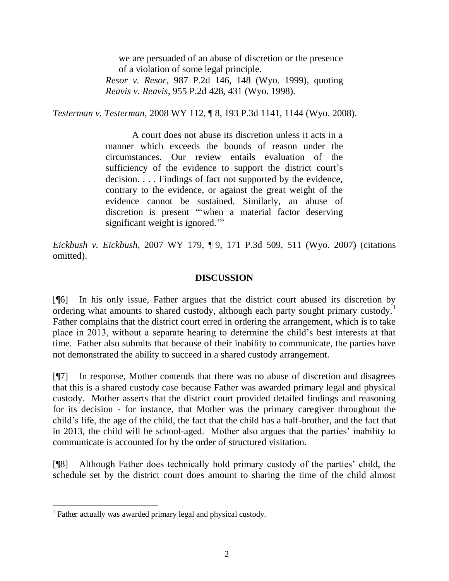we are persuaded of an abuse of discretion or the presence of a violation of some legal principle.

*Resor v. Resor*, 987 P.2d 146, 148 (Wyo. 1999), quoting *Reavis v. Reavis*, 955 P.2d 428, 431 (Wyo. 1998).

*Testerman v. Testerman*, 2008 WY 112, ¶ 8, 193 P.3d 1141, 1144 (Wyo. 2008).

A court does not abuse its discretion unless it acts in a manner which exceeds the bounds of reason under the circumstances. Our review entails evaluation of the sufficiency of the evidence to support the district court's decision. . . . Findings of fact not supported by the evidence, contrary to the evidence, or against the great weight of the evidence cannot be sustained. Similarly, an abuse of discretion is present ""when a material factor deserving significant weight is ignored."

*Eickbush v. Eickbush*, 2007 WY 179, ¶ 9, 171 P.3d 509, 511 (Wyo. 2007) (citations omitted).

### **DISCUSSION**

[¶6] In his only issue, Father argues that the district court abused its discretion by ordering what amounts to shared custody, although each party sought primary custody.<sup>1</sup> Father complains that the district court erred in ordering the arrangement, which is to take place in 2013, without a separate hearing to determine the child"s best interests at that time. Father also submits that because of their inability to communicate, the parties have not demonstrated the ability to succeed in a shared custody arrangement.

[¶7] In response, Mother contends that there was no abuse of discretion and disagrees that this is a shared custody case because Father was awarded primary legal and physical custody. Mother asserts that the district court provided detailed findings and reasoning for its decision - for instance, that Mother was the primary caregiver throughout the child"s life, the age of the child, the fact that the child has a half-brother, and the fact that in 2013, the child will be school-aged. Mother also argues that the parties' inability to communicate is accounted for by the order of structured visitation.

[¶8] Although Father does technically hold primary custody of the parties" child, the schedule set by the district court does amount to sharing the time of the child almost

 $\overline{a}$ 

<sup>&</sup>lt;sup>1</sup> Father actually was awarded primary legal and physical custody.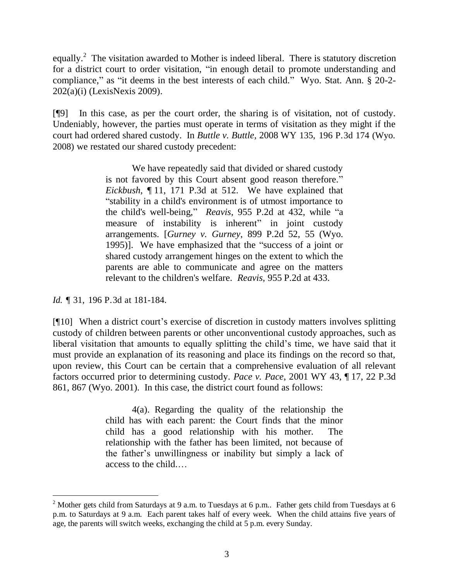equally.<sup>2</sup> The visitation awarded to Mother is indeed liberal. There is statutory discretion for a district court to order visitation, "in enough detail to promote understanding and compliance," as "it deems in the best interests of each child." Wyo. Stat. Ann. § 20-2- 202(a)(i) (LexisNexis 2009).

[¶9] In this case, as per the court order, the sharing is of visitation, not of custody. Undeniably, however, the parties must operate in terms of visitation as they might if the court had ordered shared custody. In *Buttle v. Buttle,* 2008 WY 135, 196 P.3d 174 (Wyo. 2008) we restated our shared custody precedent:

> We have repeatedly said that divided or shared custody is not favored by this Court absent good reason therefore." *Eickbush*, ¶ 11, 171 P.3d at 512. We have explained that "stability in a child's environment is of utmost importance to the child's well-being," *Reavis*, 955 P.2d at 432, while "a measure of instability is inherent" in joint custody arrangements. [*Gurney v. Gurney*[, 899 P.2d 52,](http://www.lexis.com/research/buttonTFLink?_m=6a6c57a00f6108881326049755f3b6c9&_xfercite=%3ccite%20cc%3d%22USA%22%3e%3c%21%5bCDATA%5b2008%20WY%20135%5d%5d%3e%3c%2fcite%3e&_butType=3&_butStat=2&_butNum=40&_butInline=1&_butinfo=%3ccite%20cc%3d%22USA%22%3e%3c%21%5bCDATA%5b899%20P.2d%2052%2c%2055%5d%5d%3e%3c%2fcite%3e&_fmtstr=FULL&docnum=1&_startdoc=1&wchp=dGLzVlb-zSkAz&_md5=45f3381db8604384c934f1c3c63d71a2) 55 (Wyo. 1995)]. We have emphasized that the "success of a joint or shared custody arrangement hinges on the extent to which the parents are able to communicate and agree on the matters relevant to the children's welfare. *Reavis*[, 955 P.2d](http://www.lexis.com/research/buttonTFLink?_m=6a6c57a00f6108881326049755f3b6c9&_xfercite=%3ccite%20cc%3d%22USA%22%3e%3c%21%5bCDATA%5b2008%20WY%20135%5d%5d%3e%3c%2fcite%3e&_butType=3&_butStat=2&_butNum=41&_butInline=1&_butinfo=%3ccite%20cc%3d%22USA%22%3e%3c%21%5bCDATA%5b955%20P.2d%20428%2c%20433%5d%5d%3e%3c%2fcite%3e&_fmtstr=FULL&docnum=1&_startdoc=1&wchp=dGLzVlb-zSkAz&_md5=32049b91ceadef400c3dbeed103aea8f) at 433.

*Id.* ¶ 31, 196 P.3d at 181-184.

 $\overline{a}$ 

[¶10] When a district court's exercise of discretion in custody matters involves splitting custody of children between parents or other unconventional custody approaches, such as liberal visitation that amounts to equally splitting the child's time, we have said that it must provide an explanation of its reasoning and place its findings on the record so that, upon review, this Court can be certain that a comprehensive evaluation of all relevant factors occurred prior to determining custody. *Pace v. Pace*, 2001 WY 43, ¶ 17, 22 P.3d 861, 867 (Wyo. 2001). In this case, the district court found as follows:

> 4(a). Regarding the quality of the relationship the child has with each parent: the Court finds that the minor child has a good relationship with his mother. The relationship with the father has been limited, not because of the father"s unwillingness or inability but simply a lack of access to the child.…

 $2$  Mother gets child from Saturdays at 9 a.m. to Tuesdays at 6 p.m.. Father gets child from Tuesdays at 6 p.m. to Saturdays at 9 a.m. Each parent takes half of every week. When the child attains five years of age, the parents will switch weeks, exchanging the child at 5 p.m. every Sunday.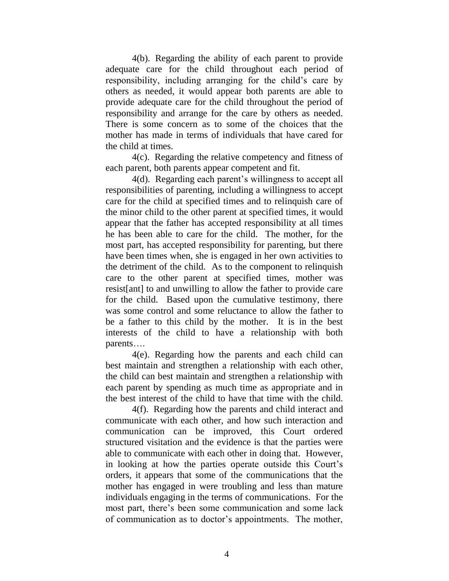4(b). Regarding the ability of each parent to provide adequate care for the child throughout each period of responsibility, including arranging for the child"s care by others as needed, it would appear both parents are able to provide adequate care for the child throughout the period of responsibility and arrange for the care by others as needed. There is some concern as to some of the choices that the mother has made in terms of individuals that have cared for the child at times.

4(c). Regarding the relative competency and fitness of each parent, both parents appear competent and fit.

4(d). Regarding each parent"s willingness to accept all responsibilities of parenting, including a willingness to accept care for the child at specified times and to relinquish care of the minor child to the other parent at specified times, it would appear that the father has accepted responsibility at all times he has been able to care for the child. The mother, for the most part, has accepted responsibility for parenting, but there have been times when, she is engaged in her own activities to the detriment of the child. As to the component to relinquish care to the other parent at specified times, mother was resist[ant] to and unwilling to allow the father to provide care for the child. Based upon the cumulative testimony, there was some control and some reluctance to allow the father to be a father to this child by the mother. It is in the best interests of the child to have a relationship with both parents….

4(e). Regarding how the parents and each child can best maintain and strengthen a relationship with each other, the child can best maintain and strengthen a relationship with each parent by spending as much time as appropriate and in the best interest of the child to have that time with the child.

4(f). Regarding how the parents and child interact and communicate with each other, and how such interaction and communication can be improved, this Court ordered structured visitation and the evidence is that the parties were able to communicate with each other in doing that. However, in looking at how the parties operate outside this Court"s orders, it appears that some of the communications that the mother has engaged in were troubling and less than mature individuals engaging in the terms of communications. For the most part, there"s been some communication and some lack of communication as to doctor"s appointments. The mother,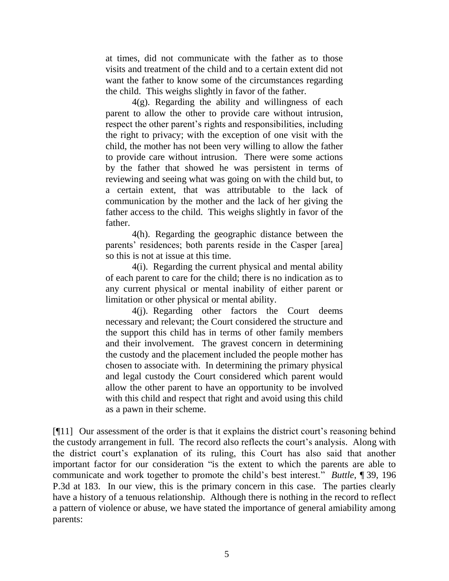at times, did not communicate with the father as to those visits and treatment of the child and to a certain extent did not want the father to know some of the circumstances regarding the child. This weighs slightly in favor of the father.

4(g). Regarding the ability and willingness of each parent to allow the other to provide care without intrusion, respect the other parent's rights and responsibilities, including the right to privacy; with the exception of one visit with the child, the mother has not been very willing to allow the father to provide care without intrusion. There were some actions by the father that showed he was persistent in terms of reviewing and seeing what was going on with the child but, to a certain extent, that was attributable to the lack of communication by the mother and the lack of her giving the father access to the child. This weighs slightly in favor of the father.

4(h). Regarding the geographic distance between the parents' residences; both parents reside in the Casper [area] so this is not at issue at this time.

4(i). Regarding the current physical and mental ability of each parent to care for the child; there is no indication as to any current physical or mental inability of either parent or limitation or other physical or mental ability.

4(j). Regarding other factors the Court deems necessary and relevant; the Court considered the structure and the support this child has in terms of other family members and their involvement. The gravest concern in determining the custody and the placement included the people mother has chosen to associate with. In determining the primary physical and legal custody the Court considered which parent would allow the other parent to have an opportunity to be involved with this child and respect that right and avoid using this child as a pawn in their scheme.

[¶11] Our assessment of the order is that it explains the district court"s reasoning behind the custody arrangement in full. The record also reflects the court"s analysis. Along with the district court"s explanation of its ruling, this Court has also said that another important factor for our consideration "is the extent to which the parents are able to communicate and work together to promote the child"s best interest." *Buttle*, ¶ 39, 196 P.3d at 183. In our view, this is the primary concern in this case. The parties clearly have a history of a tenuous relationship. Although there is nothing in the record to reflect a pattern of violence or abuse, we have stated the importance of general amiability among parents: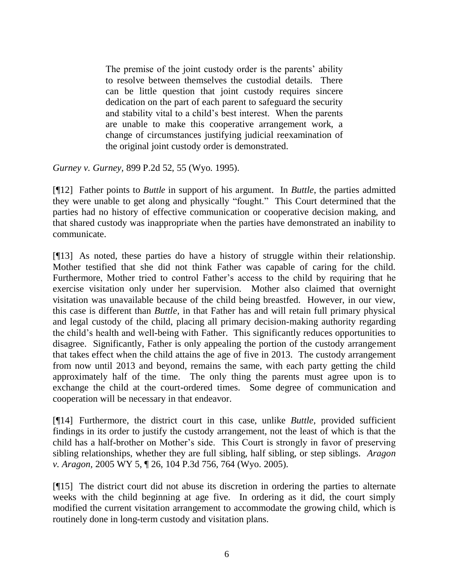The premise of the joint custody order is the parents' ability to resolve between themselves the custodial details. There can be little question that joint custody requires sincere dedication on the part of each parent to safeguard the security and stability vital to a child"s best interest. When the parents are unable to make this cooperative arrangement work, a change of circumstances justifying judicial reexamination of the original joint custody order is demonstrated.

*Gurney v. Gurney,* 899 P.2d 52, 55 (Wyo. 1995).

[¶12] Father points to *Buttle* in support of his argument. In *Buttle*, the parties admitted they were unable to get along and physically "fought." This Court determined that the parties had no history of effective communication or cooperative decision making, and that shared custody was inappropriate when the parties have demonstrated an inability to communicate.

[¶13] As noted, these parties do have a history of struggle within their relationship. Mother testified that she did not think Father was capable of caring for the child. Furthermore, Mother tried to control Father's access to the child by requiring that he exercise visitation only under her supervision. Mother also claimed that overnight visitation was unavailable because of the child being breastfed. However, in our view, this case is different than *Buttle,* in that Father has and will retain full primary physical and legal custody of the child, placing all primary decision-making authority regarding the child"s health and well-being with Father. This significantly reduces opportunities to disagree. Significantly, Father is only appealing the portion of the custody arrangement that takes effect when the child attains the age of five in 2013. The custody arrangement from now until 2013 and beyond, remains the same, with each party getting the child approximately half of the time. The only thing the parents must agree upon is to exchange the child at the court-ordered times. Some degree of communication and cooperation will be necessary in that endeavor.

[¶14] Furthermore, the district court in this case, unlike *Buttle,* provided sufficient findings in its order to justify the custody arrangement, not the least of which is that the child has a half-brother on Mother"s side. This Court is strongly in favor of preserving sibling relationships, whether they are full sibling, half sibling, or step siblings. *Aragon v. Aragon,* 2005 WY 5, ¶ 26, 104 P.3d 756, 764 (Wyo. 2005).

[¶15] The district court did not abuse its discretion in ordering the parties to alternate weeks with the child beginning at age five. In ordering as it did, the court simply modified the current visitation arrangement to accommodate the growing child, which is routinely done in long-term custody and visitation plans.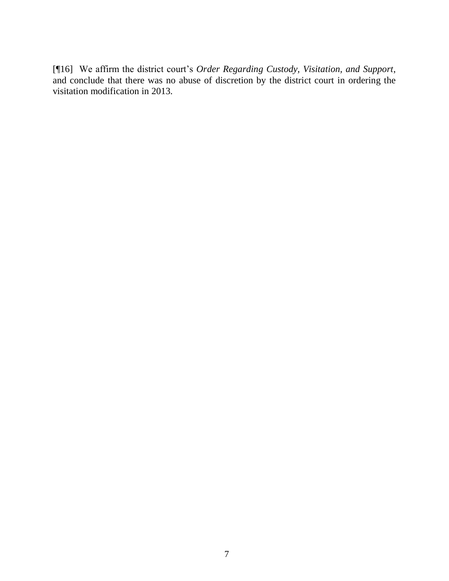[¶16] We affirm the district court"s *Order Regarding Custody, Visitation, and Support*, and conclude that there was no abuse of discretion by the district court in ordering the visitation modification in 2013*.*